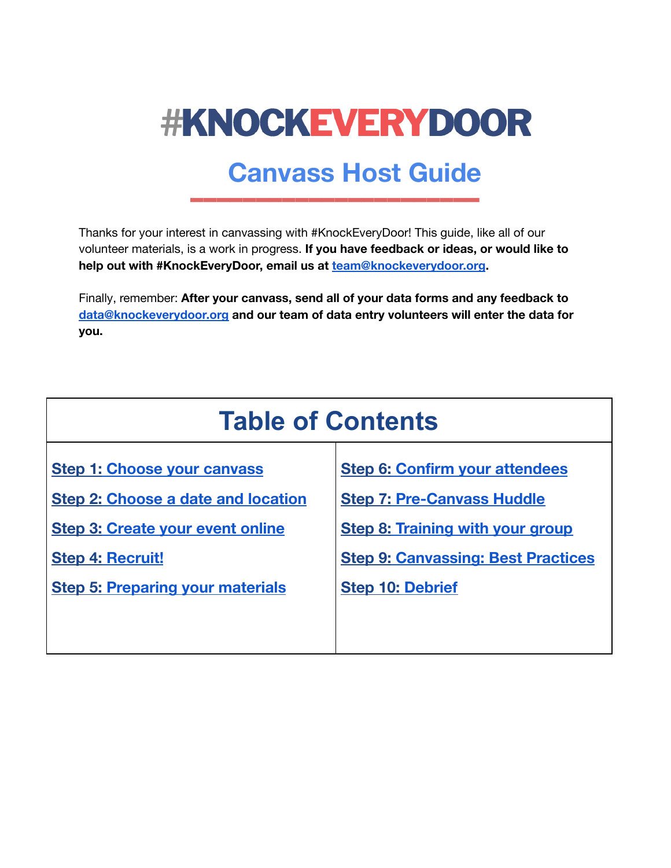

# **Canvass Host Guide**

Thanks for your interest in canvassing with #KnockEveryDoor! This guide, like all of our volunteer materials, is a work in progress. **If you have feedback or ideas, or would like to help out with #KnockEveryDoor, email us at [team@knockeverydoor.org](mailto:team@knockeverydoor.org).**

Finally, remember: **After your canvass, send all of your data forms and any feedback to [data@knockeverydoor.org](mailto:data@knockeverydoor.org) and our team of data entry volunteers will enter the data for you.**

| <b>Table of Contents</b>                                                             |                                                                              |  |  |
|--------------------------------------------------------------------------------------|------------------------------------------------------------------------------|--|--|
| <b>Step 1: Choose your canvass</b>                                                   | <b>Step 6: Confirm your attendees</b>                                        |  |  |
| <b>Step 2: Choose a date and location</b><br><b>Step 3: Create your event online</b> | <b>Step 7: Pre-Canvass Huddle</b><br><b>Step 8: Training with your group</b> |  |  |
| <b>Step 4: Recruit!</b>                                                              | <b>Step 9: Canvassing: Best Practices</b>                                    |  |  |
| <b>Step 5: Preparing your materials</b>                                              | <b>Step 10: Debrief</b>                                                      |  |  |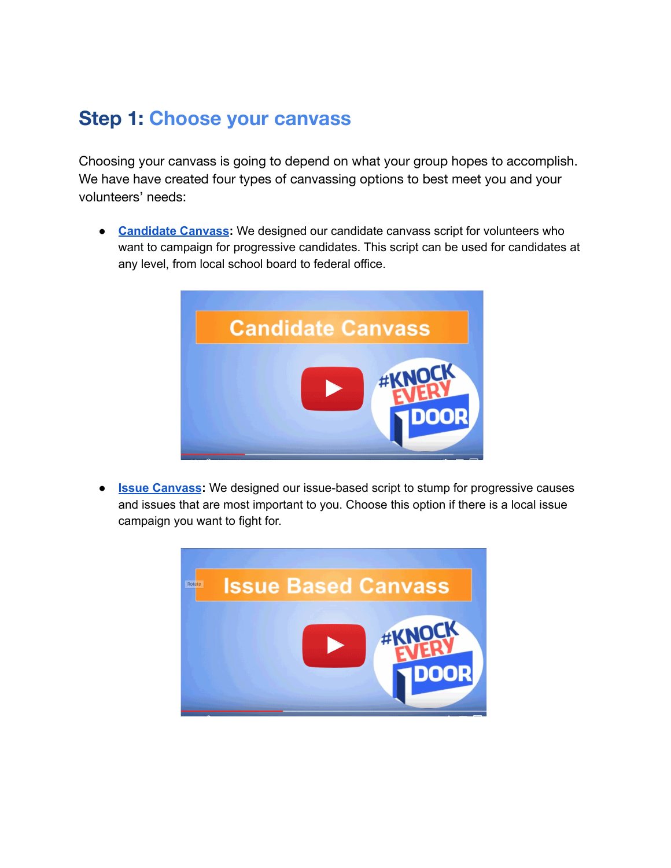# <span id="page-1-0"></span>**Step 1: Choose your canvass**

Choosing your canvass is going to depend on what your group hopes to accomplish. We have have created four types of canvassing options to best meet you and your volunteers' needs:

**● [Candidate](https://docs.google.com/document/d/1ejXneCxzXNqc5Ts0L-P5s-2ufvXuZXDMTaUK0VBWrcA/edit) Canvass:** We designed our candidate canvass script for volunteers who want to campaign for progressive candidates. This script can be used for candidates at any level, from local school board to federal office.



● **Issue [Canvass](https://docs.google.com/document/d/18s5ict5LFe-teD8l4noFoNJ346ip7n72D_UMJT_vw9s/edit):** We designed our issue-based script to stump for progressive causes and issues that are most important to you. Choose this option if there is a local issue campaign you want to fight for.

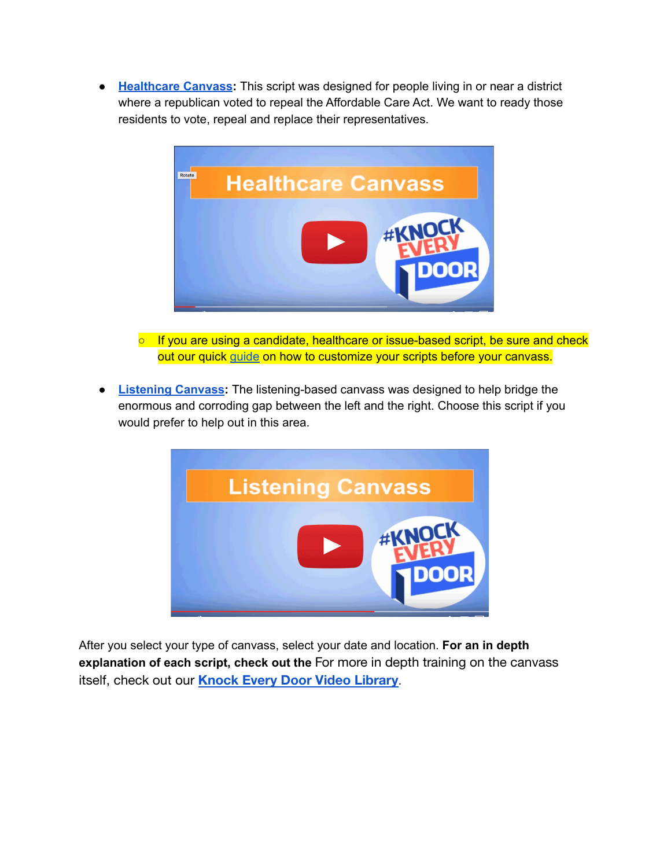**● [Healthcare](https://docs.google.com/document/d/14OkjA97Ir0Ik-ZeJc7fXEZeGoudU4cq9iM8L-lypoC0/edit) Canvass:** This script was designed for people living in or near a district where a republican voted to repeal the Affordable Care Act. We want to ready those residents to vote, repeal and replace their representatives.



- If you are using a candidate, healthcare or issue-based script, be sure and check out our quick [guide](https://docs.google.com/document/d/1dxAt4Cviph3LesVqDsjShjhSWDhV_Je6hwmSZ_VJPuQ/edit#) on how to customize your scripts before your canvass.
- **● [Listening](https://drive.google.com/file/d/0BwjS_iYloCnpY2ItazUydGZLU2c/view) Canvass:** The listening-based canvass was designed to help bridge the enormous and corroding gap between the left and the right. Choose this script if you would prefer to help out in this area.



After you select your type of canvass, select your date and location. **For an in depth explanation of each script, check out the** For more in depth training on the canvass itself, check out our **[Knock Every Door Video Library](https://docs.google.com/document/d/16CbbF1ukxbJiJZNHArS8XnZ-3yIsnHRXUxoK1yoBvAs/edit#)**.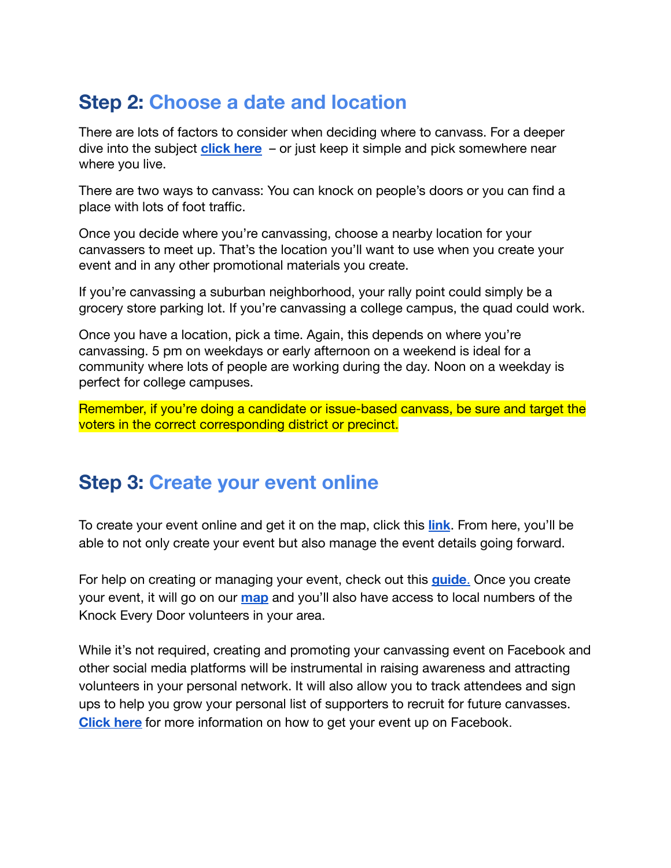# <span id="page-3-0"></span>**Step 2: Choose a date and location**

There are lots of factors to consider when deciding where to canvass. For a deeper dive into the subject **[click here](https://docs.google.com/document/d/1IyMC8s98e1GBIoOz9C6eTH_f8V4Bg4M8sGo7ddG0Qag/edit?ts=587294ca)** – or just keep it simple and pick somewhere near where you live.

There are two ways to canvass: You can knock on people's doors or you can find a place with lots of foot traffic.

Once you decide where you're canvassing, choose a nearby location for your canvassers to meet up. That's the location you'll want to use when you create your event and in any other promotional materials you create.

If you're canvassing a suburban neighborhood, your rally point could simply be a grocery store parking lot. If you're canvassing a college campus, the quad could work.

Once you have a location, pick a time. Again, this depends on where you're canvassing. 5 pm on weekdays or early afternoon on a weekend is ideal for a community where lots of people are working during the day. Noon on a weekday is perfect for college campuses.

Remember, if you're doing a candidate or issue-based canvass, be sure and target the voters in the correct corresponding district or precinct.

### <span id="page-3-1"></span>**Step 3: Create your event online**

To create your event online and get it on the map, click this **[link](https://actionnetwork.org/forms/sign-up-to-host-a-knockeverydoor-canvass)**. From here, you'll be able to not only create your event but also manage the event details going forward.

For help on creating or managing your event, check out this **[guide](https://docs.google.com/document/d/1o18zZewK3aZJ_Uc6SwfJr8qDFQWz3xDtmM1_pLskJX0/edit?usp=sharing)**. Once you create your event, it will go on our **[map](https://actionnetwork.org/event_campaigns/knockeverydoor)** and you'll also have access to local numbers of the Knock Every Door volunteers in your area.

While it's not required, creating and promoting your canvassing event on Facebook and other social media platforms will be instrumental in raising awareness and attracting volunteers in your personal network. It will also allow you to track attendees and sign ups to help you grow your personal list of supporters to recruit for future canvasses. **[Click here](https://docs.google.com/document/d/12hQHR7lU4_PJyvk5nISsytKiK7xdZcU_8H8cyVNehQQ/edit?usp=sharing)** for more information on how to get your event up on Facebook.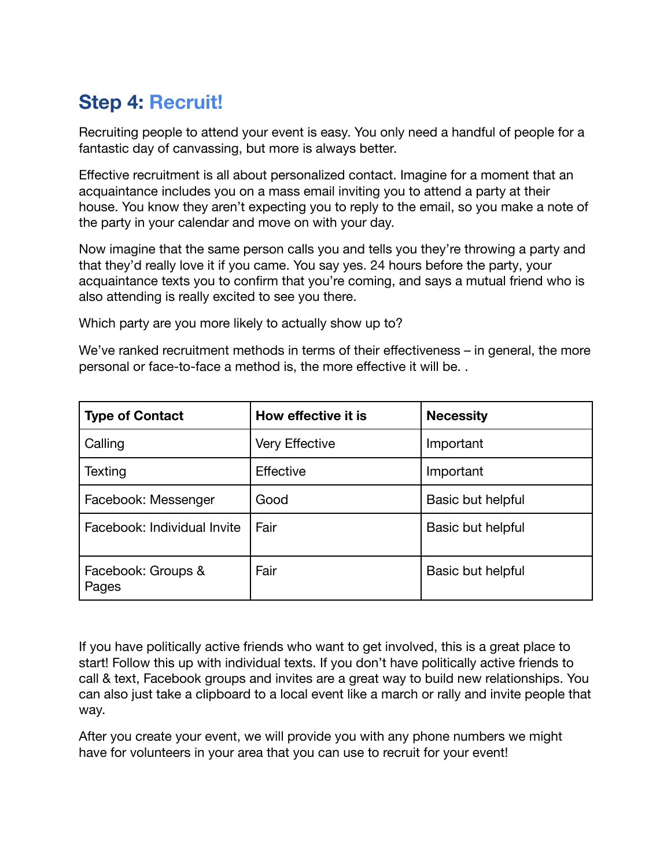# <span id="page-4-0"></span>**Step 4: Recruit!**

Recruiting people to attend your event is easy. You only need a handful of people for a fantastic day of canvassing, but more is always better.

Effective recruitment is all about personalized contact. Imagine for a moment that an acquaintance includes you on a mass email inviting you to attend a party at their house. You know they aren't expecting you to reply to the email, so you make a note of the party in your calendar and move on with your day.

Now imagine that the same person calls you and tells you they're throwing a party and that they'd really love it if you came. You say yes. 24 hours before the party, your acquaintance texts you to confirm that you're coming, and says a mutual friend who is also attending is really excited to see you there.

Which party are you more likely to actually show up to?

We've ranked recruitment methods in terms of their effectiveness – in general, the more personal or face-to-face a method is, the more effective it will be. .

| <b>Type of Contact</b>      | How effective it is   | <b>Necessity</b>  |
|-----------------------------|-----------------------|-------------------|
| Calling                     | <b>Very Effective</b> | Important         |
| Texting                     | Effective             | Important         |
| Facebook: Messenger         | Good                  | Basic but helpful |
| Facebook: Individual Invite | Fair                  | Basic but helpful |
| Facebook: Groups &<br>Pages | Fair                  | Basic but helpful |

If you have politically active friends who want to get involved, this is a great place to start! Follow this up with individual texts. If you don't have politically active friends to call & text, Facebook groups and invites are a great way to build new relationships. You can also just take a clipboard to a local event like a march or rally and invite people that way.

After you create your event, we will provide you with any phone numbers we might have for volunteers in your area that you can use to recruit for your event!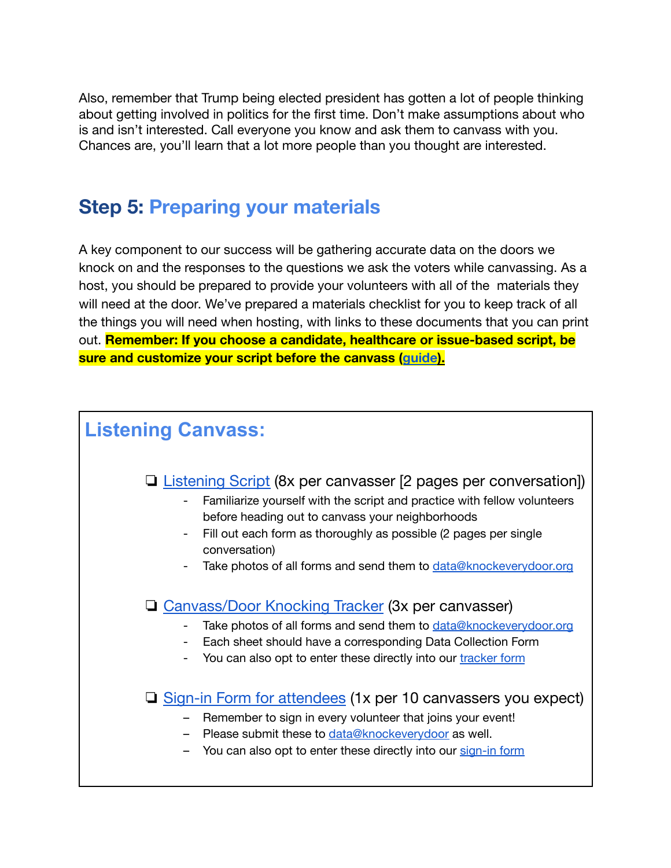Also, remember that Trump being elected president has gotten a lot of people thinking about getting involved in politics for the first time. Don't make assumptions about who is and isn't interested. Call everyone you know and ask them to canvass with you. Chances are, you'll learn that a lot more people than you thought are interested.

### <span id="page-5-0"></span>**Step 5: Preparing your materials**

A key component to our success will be gathering accurate data on the doors we knock on and the responses to the questions we ask the voters while canvassing. As a host, you should be prepared to provide your volunteers with all of the materials they will need at the door. We've prepared a materials checklist for you to keep track of all the things you will need when hosting, with links to these documents that you can print out. **Remember: If you choose a candidate, healthcare or issue-based script, be sure and customize your script before the canvass ([guide](https://docs.google.com/document/d/1dxAt4Cviph3LesVqDsjShjhSWDhV_Je6hwmSZ_VJPuQ/edit#)).**

# **Listening Canvass:**

### ❏ [Listening](https://drive.google.com/file/d/0BwjS_iYloCnpY2ItazUydGZLU2c/view?usp=sharing) Script (8x per canvasser [2 pages per conversation])

- Familiarize yourself with the script and practice with fellow volunteers before heading out to canvass your neighborhoods
- Fill out each form as thoroughly as possible (2 pages per single conversation)
- Take photos of all forms and send them to [data@knockeverydoor.org](mailto:data@knockeverydoor.org)

### ❏ [Canvass/Door](https://docs.google.com/document/d/1-ZkVQ9KqwEipQABfevKJxnlZGwX6u6FYtR_StkznoV8/edit?usp=sharing) Knocking Tracker (3x per canvasser)

- Take photos of all forms and send them to [data@knockeverydoor.org](mailto:data@knockeverydoor.org)
- Each sheet should have a corresponding Data Collection Form
- You can also opt to enter these directly into our [tracker](https://docs.google.com/a/bernalalto.com/forms/d/e/1FAIpQLScN7F-uo36avsqI5kb6R2yYbXWBNEvdx4qSB2Wl8_SeBpNoJg/viewform) form
- ❏ Sign-in Form for [attendees](https://docs.google.com/document/d/1J7tDXYDXKqHMxgkUSZFnYNVJBQxRnKFOt2O5n0UA0wI/edit) (1x per 10 canvassers you expect)
	- Remember to sign in every volunteer that joins your event!
	- Please submit these to [data@knockeverydoor](mailto:data@knockeverydoor.org) as well.
	- You can also opt to enter these directly into our [sign-in](https://docs.google.com/forms/d/e/1FAIpQLSfAwj56Bn58w7lEJq9eHhVhKW0KS3bBFKX9N1dtb7rHgBYP5w/viewform) form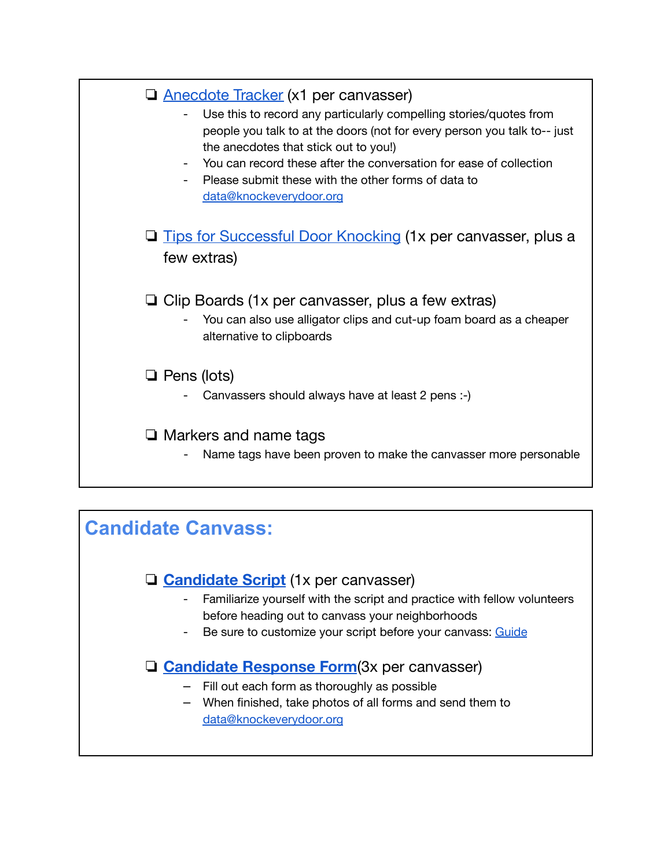| <b>Q</b> Anecdote Tracker (x1 per canvasser)<br>Use this to record any particularly compelling stories/quotes from<br>people you talk to at the doors (not for every person you talk to-- just<br>the anecdotes that stick out to you!)<br>You can record these after the conversation for ease of collection<br>Please submit these with the other forms of data to<br>data@knockeverydoor.org |
|-------------------------------------------------------------------------------------------------------------------------------------------------------------------------------------------------------------------------------------------------------------------------------------------------------------------------------------------------------------------------------------------------|
| <b>Tips for Successful Door Knocking (1x per canvasser, plus a</b><br>few extras)                                                                                                                                                                                                                                                                                                               |
| $\Box$ Clip Boards (1x per canvasser, plus a few extras)<br>You can also use alligator clips and cut-up foam board as a cheaper<br>alternative to clipboards                                                                                                                                                                                                                                    |
| $\Box$ Pens (lots)<br>Canvassers should always have at least 2 pens :-)                                                                                                                                                                                                                                                                                                                         |
| $\Box$ Markers and name tags<br>Name tags have been proven to make the canvasser more personable                                                                                                                                                                                                                                                                                                |
|                                                                                                                                                                                                                                                                                                                                                                                                 |
| <b>Candidate Canvass:</b>                                                                                                                                                                                                                                                                                                                                                                       |
| <b>Q Candidate Script</b> (1x per canvasser)<br>Familiarize yourself with the script and practice with fellow volunteers                                                                                                                                                                                                                                                                        |

- before heading out to canvass your neighborhoods
- Be sure to customize your script before your canvass: [Guide](https://docs.google.com/document/d/1dxAt4Cviph3LesVqDsjShjhSWDhV_Je6hwmSZ_VJPuQ/edit#)

### ❏ **[Candidate](https://docs.google.com/document/d/1o1rpxxu2IAynMErWKRqdGWO_SX8Ngt4LiTamV_-baUI/edit) Response Form**(3x per canvasser)

- Fill out each form as thoroughly as possible
- When finished, take photos of all forms and send them to [data@knockeverydoor.org](mailto:data@knockeverydoor.org)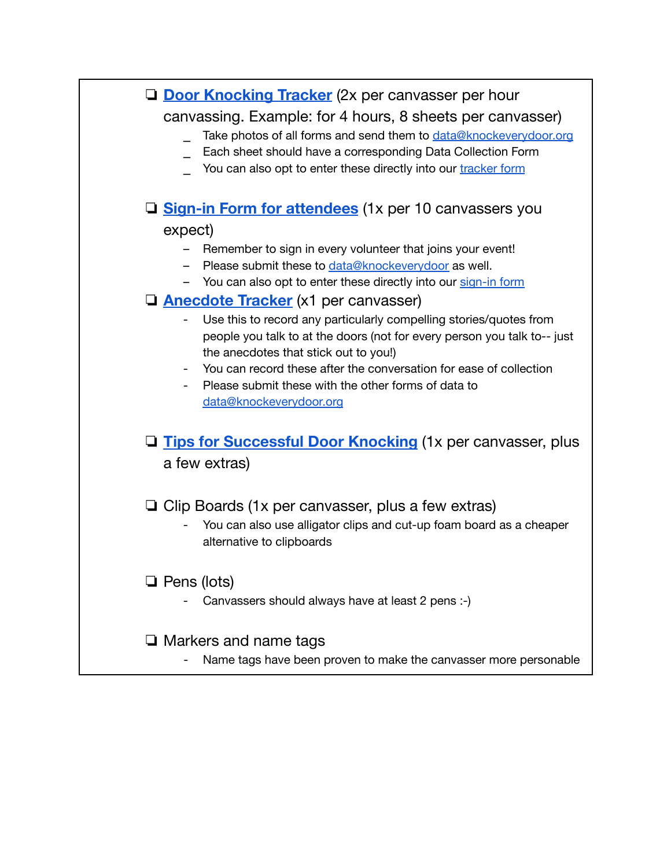| <b>Q</b> Door Knocking Tracker (2x per canvasser per hour<br>canvassing. Example: for 4 hours, 8 sheets per canvasser)<br>Take photos of all forms and send them to data@knockeverydoor.org<br>Each sheet should have a corresponding Data Collection Form<br>You can also opt to enter these directly into our tracker form                                                |
|-----------------------------------------------------------------------------------------------------------------------------------------------------------------------------------------------------------------------------------------------------------------------------------------------------------------------------------------------------------------------------|
| □ Sign-in Form for attendees (1x per 10 canvassers you                                                                                                                                                                                                                                                                                                                      |
| expect)                                                                                                                                                                                                                                                                                                                                                                     |
| Remember to sign in every volunteer that joins your event!<br>Please submit these to data@knockeverydoor as well.<br>- You can also opt to enter these directly into our sign-in form                                                                                                                                                                                       |
| □ Anecdote Tracker (x1 per canvasser)                                                                                                                                                                                                                                                                                                                                       |
| Use this to record any particularly compelling stories/quotes from<br>people you talk to at the doors (not for every person you talk to-- just<br>the anecdotes that stick out to you!)<br>You can record these after the conversation for ease of collection<br>$\overline{\phantom{a}}$<br>Please submit these with the other forms of data to<br>data@knockeverydoor.org |
| <b>Q</b> Tips for Successful Door Knocking (1x per canvasser, plus<br>a few extras)                                                                                                                                                                                                                                                                                         |
| $\Box$ Clip Boards (1x per canvasser, plus a few extras)<br>You can also use alligator clips and cut-up foam board as a cheaper<br>alternative to clipboards                                                                                                                                                                                                                |
| $\Box$ Pens (lots)<br>Canvassers should always have at least 2 pens :-)                                                                                                                                                                                                                                                                                                     |
| $\Box$ Markers and name tags<br>Name tags have been proven to make the canvasser more personable                                                                                                                                                                                                                                                                            |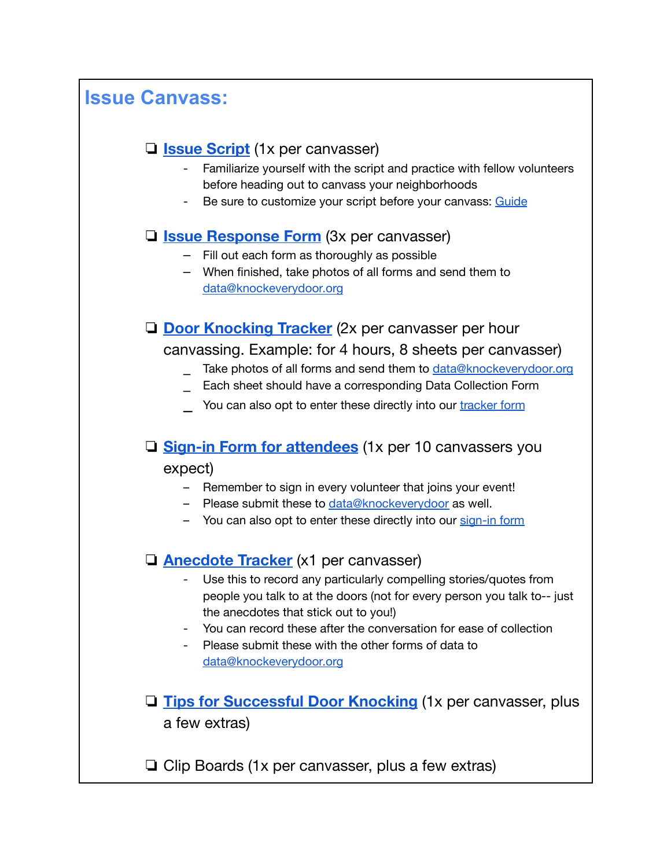### **Issue Canvass:**

### ❏ **Issue [Script](https://docs.google.com/document/d/18s5ict5LFe-teD8l4noFoNJ346ip7n72D_UMJT_vw9s/edit)** (1x per canvasser)

- Familiarize yourself with the script and practice with fellow volunteers before heading out to canvass your neighborhoods
- Be sure to customize your script before your canvass: [Guide](https://docs.google.com/document/d/1dxAt4Cviph3LesVqDsjShjhSWDhV_Je6hwmSZ_VJPuQ/edit#)

### ❏ **Issue [Response](https://docs.google.com/document/d/1dTDrlU2v7KJGkN5lBeyIDDkOSHg_xwRDzdZoB7eyyHQ/edit) Form** (3x per canvasser)

- ⎼ Fill out each form as thoroughly as possible
- ⎼ When finished, take photos of all forms and send them to [data@knockeverydoor.org](mailto:data@knockeverydoor.org)

❏ **Door [Knocking](https://docs.google.com/document/d/1-ZkVQ9KqwEipQABfevKJxnlZGwX6u6FYtR_StkznoV8/edit?usp=sharing) Tracker** (2x per canvasser per hour canvassing. Example: for 4 hours, 8 sheets per canvasser)

- Take photos of all forms and send them to [data@knockeverydoor.org](mailto:data@knockeverydoor.org)
- Each sheet should have a corresponding Data Collection Form
- You can also opt to enter these directly into our [tracker](https://docs.google.com/a/bernalalto.com/forms/d/e/1FAIpQLScN7F-uo36avsqI5kb6R2yYbXWBNEvdx4qSB2Wl8_SeBpNoJg/viewform) form

# ❏ **Sign-in Form for [attendees](https://docs.google.com/document/d/1J7tDXYDXKqHMxgkUSZFnYNVJBQxRnKFOt2O5n0UA0wI/edit)** (1x per 10 canvassers you

#### expect)

- Remember to sign in every volunteer that joins your event!
- Please submit these to data@knockeverydoor as well.
- You can also opt to enter these directly into our [sign-in](https://docs.google.com/forms/d/e/1FAIpQLSfAwj56Bn58w7lEJq9eHhVhKW0KS3bBFKX9N1dtb7rHgBYP5w/viewform) form

### ❏ **[Anecdote](https://docs.google.com/document/d/11PWl3uvIyMkcbsPRqJJs9pdvrIpi2va0471ssfxqD30/edit?usp=sharing) Tracker** (x1 per canvasser)

- Use this to record any particularly compelling stories/quotes from people you talk to at the doors (not for every person you talk to-- just the anecdotes that stick out to you!)
- You can record these after the conversation for ease of collection
- Please submit these with the other forms of data to [data@knockeverydoor.org](mailto:data@knockeverydoor.org)
- ❏ **Tips for [Successful](https://docs.google.com/document/d/1EinI9ZrQdi8qXCYWkewnW46A55Wtr1ldu_Z9BDqLvfs/edit) Door Knocking** (1x per canvasser, plus a few extras)

❏ Clip Boards (1x per canvasser, plus a few extras)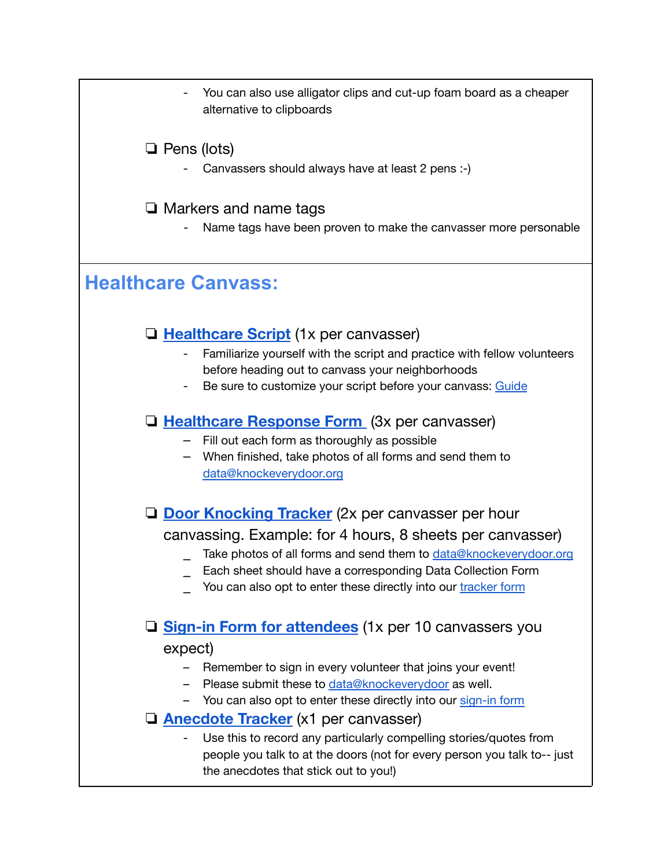You can also use alligator clips and cut-up foam board as a cheaper alternative to clipboards

### ❏ Pens (lots)

Canvassers should always have at least 2 pens :-)

### ❏ Markers and name tags

- Name tags have been proven to make the canvasser more personable

### **Healthcare Canvass:**

### ❏ **[Healthcare](https://docs.google.com/document/d/14OkjA97Ir0Ik-ZeJc7fXEZeGoudU4cq9iM8L-lypoC0/edit) Script** (1x per canvasser)

- Familiarize yourself with the script and practice with fellow volunteers before heading out to canvass your neighborhoods
- Be sure to customize your script before your canvass: [Guide](https://docs.google.com/document/d/1dxAt4Cviph3LesVqDsjShjhSWDhV_Je6hwmSZ_VJPuQ/edit#)

### ❏ **[Healthcare](https://docs.google.com/document/d/1n9clY5yaoK4CMoBXt6zvKR5y4tcNhzvQy-LFMVCO4a4/edit) Response Form** (3x per canvasser)

- ⎼ Fill out each form as thoroughly as possible
- ⎼ When finished, take photos of all forms and send them to [data@knockeverydoor.org](mailto:data@knockeverydoor.org)

❏ **Door [Knocking](https://docs.google.com/document/d/1-ZkVQ9KqwEipQABfevKJxnlZGwX6u6FYtR_StkznoV8/edit?usp=sharing) Tracker** (2x per canvasser per hour

### canvassing. Example: for 4 hours, 8 sheets per canvasser)

- Take photos of all forms and send them to **[data@knockeverydoor.org](mailto:data@knockeverydoor.org)**
- Each sheet should have a corresponding Data Collection Form
- You can also opt to enter these directly into our [tracker](https://docs.google.com/a/bernalalto.com/forms/d/e/1FAIpQLScN7F-uo36avsqI5kb6R2yYbXWBNEvdx4qSB2Wl8_SeBpNoJg/viewform) form

### ❏ **Sign-in Form for [attendees](https://docs.google.com/document/d/1J7tDXYDXKqHMxgkUSZFnYNVJBQxRnKFOt2O5n0UA0wI/edit)** (1x per 10 canvassers you

#### expect)

- Remember to sign in every volunteer that joins your event!
- Please submit these to data@knockeverydoor as well.
- You can also opt to enter these directly into our [sign-in](https://docs.google.com/forms/d/e/1FAIpQLSfAwj56Bn58w7lEJq9eHhVhKW0KS3bBFKX9N1dtb7rHgBYP5w/viewform) form

### ❏ **[Anecdote](https://docs.google.com/document/d/11PWl3uvIyMkcbsPRqJJs9pdvrIpi2va0471ssfxqD30/edit?usp=sharing) Tracker** (x1 per canvasser)

- Use this to record any particularly compelling stories/quotes from people you talk to at the doors (not for every person you talk to-- just the anecdotes that stick out to you!)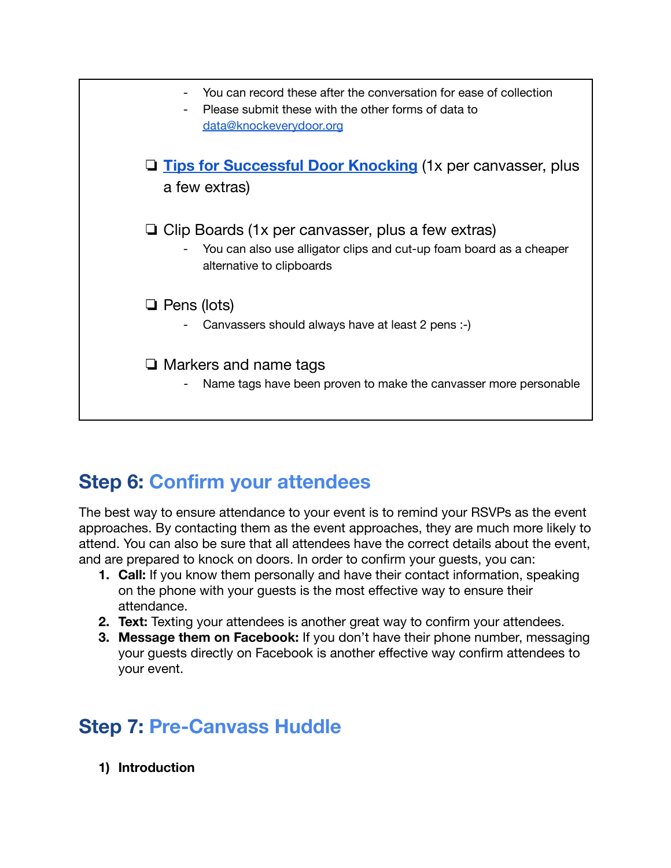

### <span id="page-10-0"></span>**Step 6: Confirm your attendees**

The best way to ensure attendance to your event is to remind your RSVPs as the event approaches. By contacting them as the event approaches, they are much more likely to attend. You can also be sure that all attendees have the correct details about the event, and are prepared to knock on doors. In order to confirm your guests, you can:

- **1. Call:** If you know them personally and have their contact information, speaking on the phone with your guests is the most effective way to ensure their attendance.
- **2. Text:** Texting your attendees is another great way to confirm your attendees.
- **3. Message them on Facebook:** If you don't have their phone number, messaging your guests directly on Facebook is another effective way confirm attendees to your event.

### <span id="page-10-1"></span>**Step 7: Pre-Canvass Huddle**

**1) Introduction**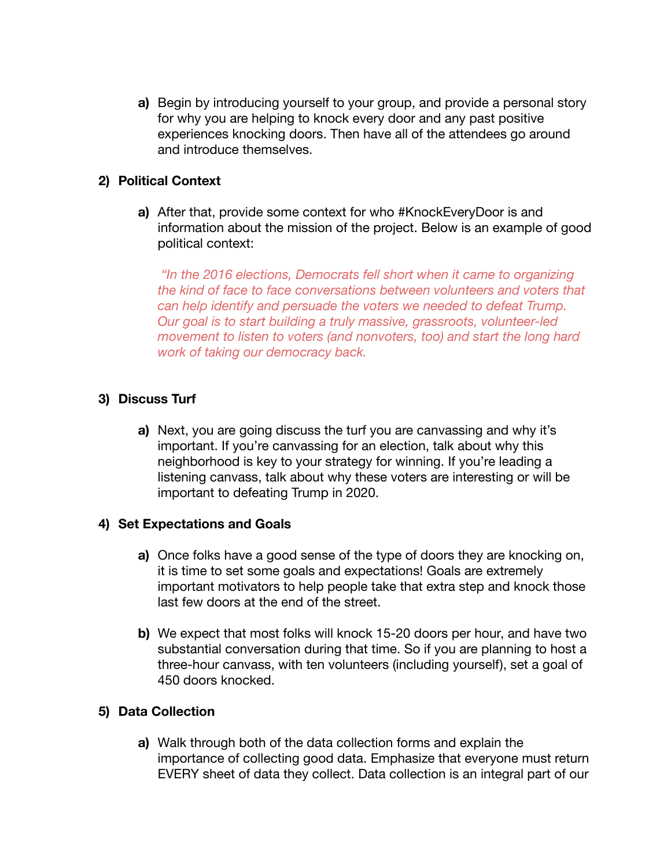**a)** Begin by introducing yourself to your group, and provide a personal story for why you are helping to knock every door and any past positive experiences knocking doors. Then have all of the attendees go around and introduce themselves.

#### **2) Political Context**

**a)** After that, provide some context for who #KnockEveryDoor is and information about the mission of the project. Below is an example of good political context:

*"In the 2016 elections, Democrats fell short when it came to organizing the kind of face to face conversations between volunteers and voters that can help identify and persuade the voters we needed to defeat Trump. Our goal is to start building a truly massive, grassroots, volunteer-led movement to listen to voters (and nonvoters, too) and start the long hard work of taking our democracy back.*

#### **3) Discuss Turf**

**a)** Next, you are going discuss the turf you are canvassing and why it's important. If you're canvassing for an election, talk about why this neighborhood is key to your strategy for winning. If you're leading a listening canvass, talk about why these voters are interesting or will be important to defeating Trump in 2020.

#### **4) Set Expectations and Goals**

- **a)** Once folks have a good sense of the type of doors they are knocking on, it is time to set some goals and expectations! Goals are extremely important motivators to help people take that extra step and knock those last few doors at the end of the street.
- **b)** We expect that most folks will knock 15-20 doors per hour, and have two substantial conversation during that time. So if you are planning to host a three-hour canvass, with ten volunteers (including yourself), set a goal of 450 doors knocked.

#### **5) Data Collection**

**a)** Walk through both of the data collection forms and explain the importance of collecting good data. Emphasize that everyone must return EVERY sheet of data they collect. Data collection is an integral part of our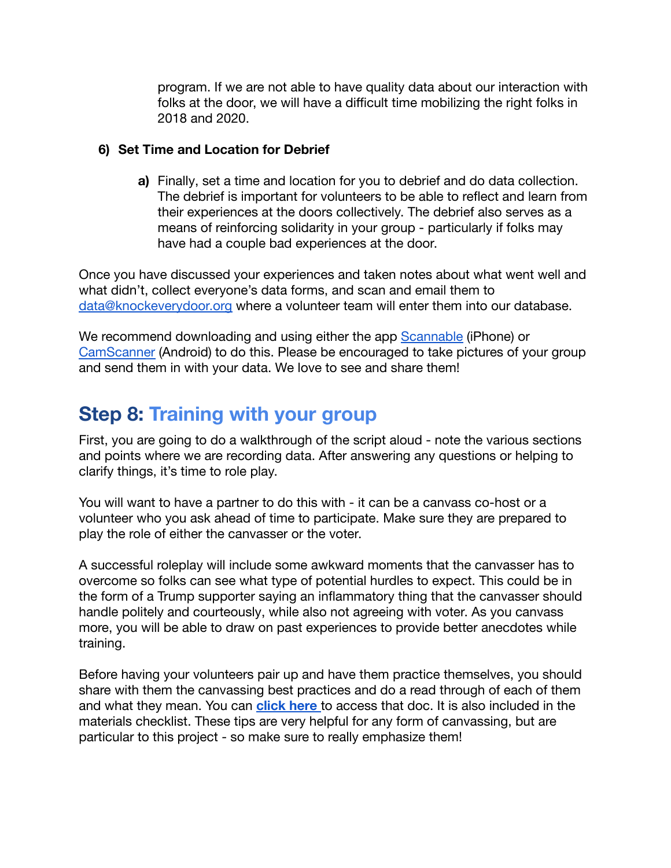program. If we are not able to have quality data about our interaction with folks at the door, we will have a difficult time mobilizing the right folks in 2018 and 2020.

#### **6) Set Time and Location for Debrief**

**a)** Finally, set a time and location for you to debrief and do data collection. The debrief is important for volunteers to be able to reflect and learn from their experiences at the doors collectively. The debrief also serves as a means of reinforcing solidarity in your group - particularly if folks may have had a couple bad experiences at the door.

Once you have discussed your experiences and taken notes about what went well and what didn't, collect everyone's data forms, and scan and email them to [data@knockeverydoor.org](mailto:data@knockeverydoor.org) where a volunteer team will enter them into our database.

We recommend downloading and using either the app [Scannable](https://evernote.com/products/scannable/) (iPhone) or [CamScanner](https://play.google.com/store/apps/details?id=com.intsig.camscanner&hl=en) (Android) to do this. Please be encouraged to take pictures of your group and send them in with your data. We love to see and share them!

### <span id="page-12-0"></span>**Step 8: Training with your group**

First, you are going to do a walkthrough of the script aloud - note the various sections and points where we are recording data. After answering any questions or helping to clarify things, it's time to role play.

You will want to have a partner to do this with - it can be a canvass co-host or a volunteer who you ask ahead of time to participate. Make sure they are prepared to play the role of either the canvasser or the voter.

A successful roleplay will include some awkward moments that the canvasser has to overcome so folks can see what type of potential hurdles to expect. This could be in the form of a Trump supporter saying an inflammatory thing that the canvasser should handle politely and courteously, while also not agreeing with voter. As you canvass more, you will be able to draw on past experiences to provide better anecdotes while training.

Before having your volunteers pair up and have them practice themselves, you should share with them the canvassing best practices and do a read through of each of them and what they mean. You can **[click here](https://docs.google.com/document/d/1EinI9ZrQdi8qXCYWkewnW46A55Wtr1ldu_Z9BDqLvfs/edit)** to access that doc. It is also included in the materials checklist. These tips are very helpful for any form of canvassing, but are particular to this project - so make sure to really emphasize them!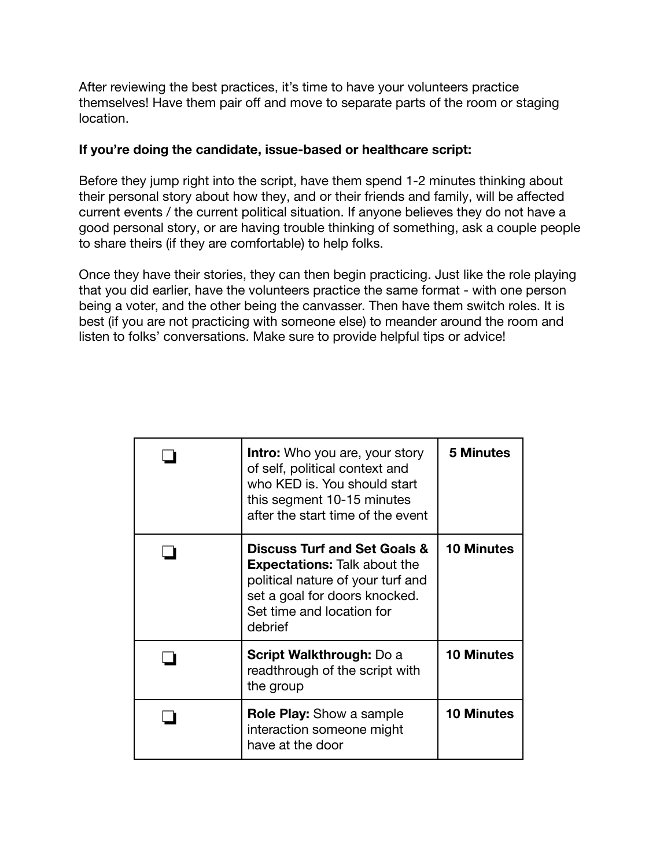After reviewing the best practices, it's time to have your volunteers practice themselves! Have them pair off and move to separate parts of the room or staging location.

#### **If you're doing the candidate, issue-based or healthcare script:**

Before they jump right into the script, have them spend 1-2 minutes thinking about their personal story about how they, and or their friends and family, will be affected current events / the current political situation. If anyone believes they do not have a good personal story, or are having trouble thinking of something, ask a couple people to share theirs (if they are comfortable) to help folks.

Once they have their stories, they can then begin practicing. Just like the role playing that you did earlier, have the volunteers practice the same format - with one person being a voter, and the other being the canvasser. Then have them switch roles. It is best (if you are not practicing with someone else) to meander around the room and listen to folks' conversations. Make sure to provide helpful tips or advice!

| <b>Intro:</b> Who you are, your story<br>of self, political context and<br>who KED is. You should start<br>this segment 10-15 minutes<br>after the start time of the event                   | <b>5 Minutes</b>  |
|----------------------------------------------------------------------------------------------------------------------------------------------------------------------------------------------|-------------------|
| <b>Discuss Turf and Set Goals &amp;</b><br><b>Expectations:</b> Talk about the<br>political nature of your turf and<br>set a goal for doors knocked.<br>Set time and location for<br>debrief | <b>10 Minutes</b> |
| <b>Script Walkthrough: Do a</b><br>readthrough of the script with<br>the group                                                                                                               | <b>10 Minutes</b> |
| <b>Role Play:</b> Show a sample<br>interaction someone might<br>have at the door                                                                                                             | <b>10 Minutes</b> |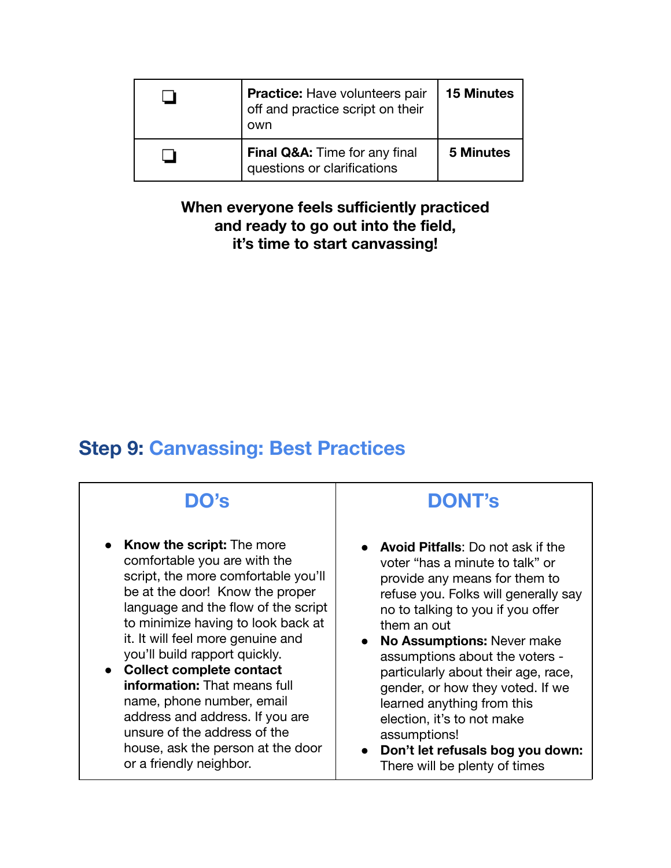| <b>Practice:</b> Have volunteers pair<br>off and practice script on their<br>own | <b>15 Minutes</b> |
|----------------------------------------------------------------------------------|-------------------|
| Final Q&A: Time for any final<br>questions or clarifications                     | <b>5 Minutes</b>  |

### **When everyone feels sufficiently practiced and ready to go out into the field, it's time to start canvassing!**

### <span id="page-14-0"></span>**Step 9: Canvassing: Best Practices**

# **DO's**

- **Know the script:** The more comfortable you are with the script, the more comfortable you'll be at the door! Know the proper language and the flow of the script to minimize having to look back at it. It will feel more genuine and you'll build rapport quickly.
- **● Collect complete contact information:** That means full name, phone number, email address and address. If you are unsure of the address of the house, ask the person at the door or a friendly neighbor.

### **DONT's**

- **Avoid Pitfalls:** Do not ask if the voter "has a minute to talk" or provide any means for them to refuse you. Folks will generally say no to talking to you if you offer them an out
- **● No Assumptions:** Never make assumptions about the voters particularly about their age, race, gender, or how they voted. If we learned anything from this election, it's to not make assumptions!
- **● Don't let refusals bog you down:** There will be plenty of times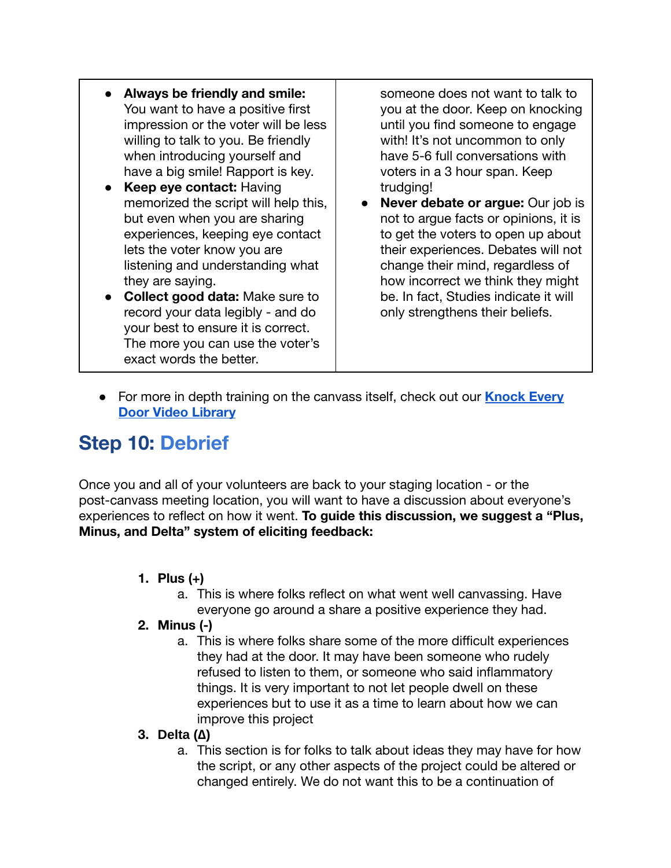- **● Always be friendly and smile:** You want to have a positive first impression or the voter will be less willing to talk to you. Be friendly when introducing yourself and have a big smile! Rapport is key.
- **Keep eye contact: Having** memorized the script will help this, but even when you are sharing experiences, keeping eye contact lets the voter know you are listening and understanding what they are saying.
- **● Collect good data:** Make sure to record your data legibly - and do your best to ensure it is correct. The more you can use the voter's exact words the better.

someone does not want to talk to you at the door. Keep on knocking until you find someone to engage with! It's not uncommon to only have 5-6 full conversations with voters in a 3 hour span. Keep trudging!

- **● Never debate or argue:** Our job is not to argue facts or opinions, it is to get the voters to open up about their experiences. Debates will not change their mind, regardless of how incorrect we think they might be. In fact, Studies indicate it will only strengthens their beliefs.
- For more in depth training on the canvass itself, check out our **[Knock Every](https://docs.google.com/document/d/16CbbF1ukxbJiJZNHArS8XnZ-3yIsnHRXUxoK1yoBvAs/edit#) [Door Video Library](https://docs.google.com/document/d/16CbbF1ukxbJiJZNHArS8XnZ-3yIsnHRXUxoK1yoBvAs/edit#)**

# <span id="page-15-0"></span>**Step 10: Debrief**

Once you and all of your volunteers are back to your staging location - or the post-canvass meeting location, you will want to have a discussion about everyone's experiences to reflect on how it went. **To guide this discussion, we suggest a "Plus, Minus, and Delta" system of eliciting feedback:**

- **1. Plus (+)**
	- a. This is where folks reflect on what went well canvassing. Have everyone go around a share a positive experience they had.

#### **2. Minus (-)**

a. This is where folks share some of the more difficult experiences they had at the door. It may have been someone who rudely refused to listen to them, or someone who said inflammatory things. It is very important to not let people dwell on these experiences but to use it as a time to learn about how we can improve this project

### **3. Delta (∆)**

a. This section is for folks to talk about ideas they may have for how the script, or any other aspects of the project could be altered or changed entirely. We do not want this to be a continuation of